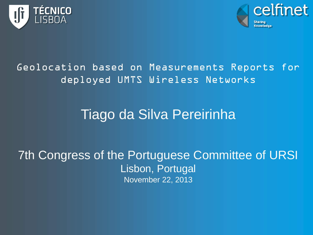



#### Geolocation based on Measurements Reports for deployed UMTS Wireless Networks

#### Tiago da Silva Pereirinha

7th Congress of the Portuguese Committee of URSI Lisbon, Portugal November 22, 2013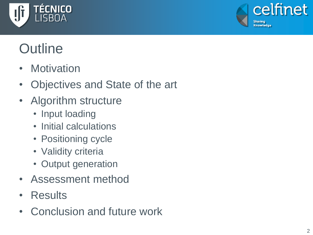



### **Outline**

- Motivation
- Objectives and State of the art
- Algorithm structure
	- Input loading
	- Initial calculations
	- Positioning cycle
	- Validity criteria
	- Output generation
- Assessment method
- Results
- Conclusion and future work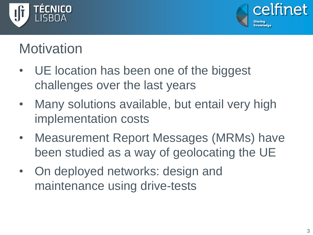



#### **Motivation**

- UE location has been one of the biggest challenges over the last years
- Many solutions available, but entail very high implementation costs
- Measurement Report Messages (MRMs) have been studied as a way of geolocating the UE
- On deployed networks: design and maintenance using drive-tests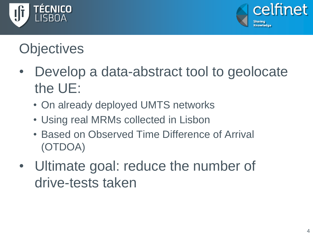



### **Objectives**

- Develop a data-abstract tool to geolocate the UE:
	- On already deployed UMTS networks
	- Using real MRMs collected in Lisbon
	- Based on Observed Time Difference of Arrival (OTDOA)
- Ultimate goal: reduce the number of drive-tests taken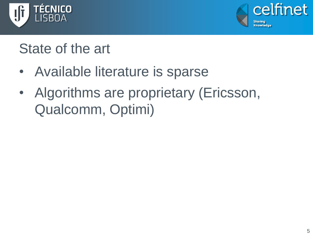



#### State of the art

- Available literature is sparse
- Algorithms are proprietary (Ericsson, Qualcomm, Optimi)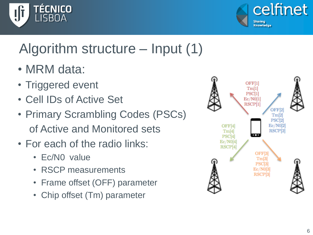



### Algorithm structure – Input (1)

- MRM data:
- Triggered event
- Cell IDs of Active Set
- Primary Scrambling Codes (PSCs) of Active and Monitored sets
- For each of the radio links:
	- Ec/N0 value
	- RSCP measurements
	- Frame offset (OFF) parameter
	- Chip offset (Tm) parameter

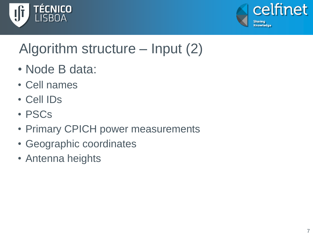



### Algorithm structure – Input (2)

- Node B data:
- Cell names
- Cell IDs
- PSCs
- Primary CPICH power measurements
- Geographic coordinates
- Antenna heights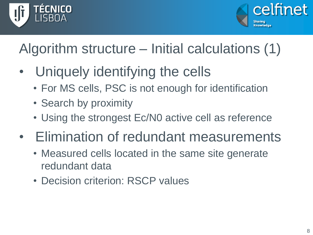



### Algorithm structure – Initial calculations (1)

- Uniquely identifying the cells
	- For MS cells, PSC is not enough for identification
	- Search by proximity
	- Using the strongest Ec/N0 active cell as reference
- Elimination of redundant measurements
	- Measured cells located in the same site generate redundant data
	- Decision criterion: RSCP values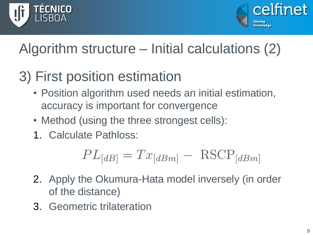



### Algorithm structure – Initial calculations (2)

### 3) First position estimation

- Position algorithm used needs an initial estimation, accuracy is important for convergence
- Method (using the three strongest cells):
- 1. Calculate Pathloss:

$$
PL_{[dB]} = Tx_{[dBm]} - RSCP_{[dBm]}
$$

- 2. Apply the Okumura-Hata model inversely (in order of the distance)
- 3. Geometric trilateration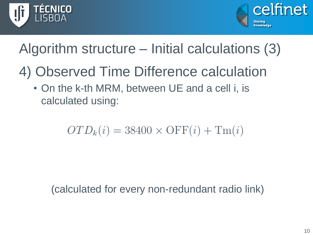



### Algorithm structure – Initial calculations (3)

- 4) Observed Time Difference calculation
	- On the k-th MRM, between UE and a cell i, is calculated using:

$$
OTD_k(i) = 38400 \times OFF(i) + Tm(i)
$$

(calculated for every non-redundant radio link)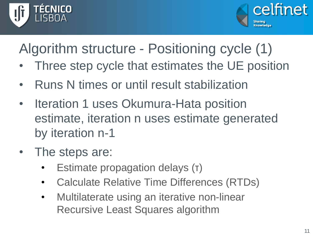



Algorithm structure - Positioning cycle (1)

- Three step cycle that estimates the UE position
- Runs N times or until result stabilization
- Iteration 1 uses Okumura-Hata position estimate, iteration n uses estimate generated by iteration n-1
- The steps are:
	- Estimate propagation delays (τ)
	- Calculate Relative Time Differences (RTDs)
	- Multilaterate using an iterative non-linear Recursive Least Squares algorithm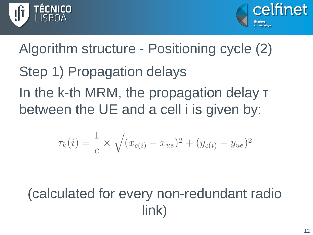



Step 1) Propagation delays In the k-th MRM, the propagation delay τ between the UE and a cell i is given by: Algorithm structure - Positioning cycle (2)

$$
\tau_k(i) = \frac{1}{c} \times \sqrt{(x_{c(i)} - x_{ue})^2 + (y_{c(i)} - y_{ue})^2}
$$

#### (calculated for every non-redundant radio link)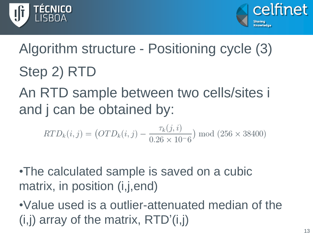



# Step 2) RTD An RTD sample between two cells/sites i Algorithm structure - Positioning cycle (3)

and j can be obtained by:

$$
RTD_k(i,j) = (OTD_k(i,j) - \frac{\tau_k(j,i)}{0.26 \times 10^{-6}}) \text{ mod } (256 \times 38400)
$$

•The calculated sample is saved on a cubic matrix, in position (i,j,end)

•Value used is a outlier-attenuated median of the  $(i,j)$  array of the matrix,  $RTD'(i,j)$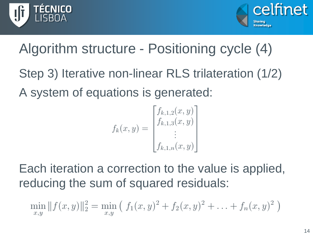



### Algorithm structure - Positioning cycle (4)

Step 3) Iterative non-linear RLS trilateration (1/2) A system of equations is generated:

$$
f_k(x, y) = \begin{bmatrix} f_{k,1,2}(x, y) \\ f_{k,1,3}(x, y) \\ \vdots \\ f_{k,1,n}(x, y) \end{bmatrix}
$$

Each iteration a correction to the value is applied, reducing the sum of squared residuals:

$$
\min_{x,y} ||f(x,y)||_2^2 = \min_{x,y} (f_1(x,y)^2 + f_2(x,y)^2 + \ldots + f_n(x,y)^2)
$$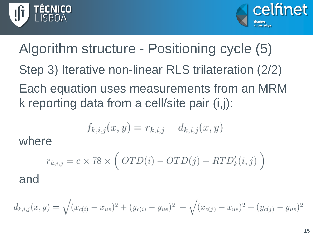



Step 3) Iterative non-linear RLS trilateration (2/2) Each equation uses measurements from an MRM k reporting data from a cell/site pair (i,j): Algorithm structure - Positioning cycle (5)

$$
f_{k,i,j}(x,y) = r_{k,i,j} - d_{k,i,j}(x,y)
$$

where

$$
r_{k,i,j} = c \times 78 \times \left( OTD(i) - OTD(j) - RTD'_{k}(i,j)\right)
$$

and

$$
d_{k,i,j}(x,y) = \sqrt{(x_{c(i)} - x_{ue})^2 + (y_{c(i)} - y_{ue})^2} - \sqrt{(x_{c(j)} - x_{ue})^2 + (y_{c(j)} - y_{ue})^2}
$$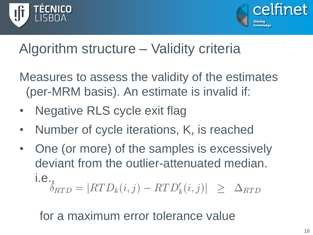



#### Algorithm structure – Validity criteria

Measures to assess the validity of the estimates (per-MRM basis). An estimate is invalid if:

- **Negative RLS cycle exit flag**
- Number of cycle iterations, K, is reached
- One (or more) of the samples is excessively deviant from the outlier-attenuated median. i.e.,<br> $\delta_{RTD} = |RTD_k(i,j) - RTD'_k(i,j)| \geq \Delta_{RTD}$

for a maximum error tolerance value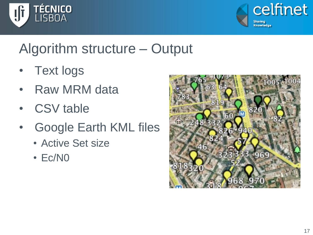



#### Algorithm structure – Output

- **Text logs**
- Raw MRM data
- CSV table
- Google Earth KML files
	- Active Set size
	- Ec/N0

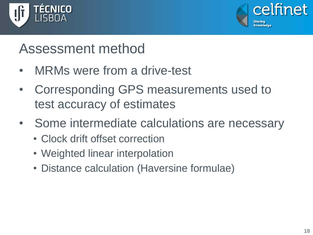



#### Assessment method

- MRMs were from a drive-test
- Corresponding GPS measurements used to test accuracy of estimates
- Some intermediate calculations are necessary
	- Clock drift offset correction
	- Weighted linear interpolation
	- Distance calculation (Haversine formulae)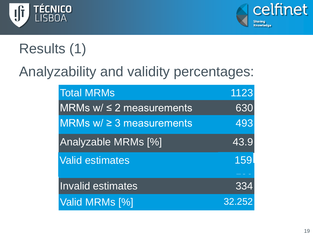



## Results (1)

#### Analyzability and validity percentages:

| <b>Total MRMs</b>               | 1123       |
|---------------------------------|------------|
| $MRMs$ w/ $\leq$ 2 measurements | 630        |
| MRMs $w \geq 3$ measurements    | 493        |
| <b>Analyzable MRMs [%]</b>      | 43.9       |
| <b>Valid estimates</b>          | <b>159</b> |
|                                 |            |
| <b>Invalid estimates</b>        | 334        |
| Valid MRMs [%]                  | 32.252     |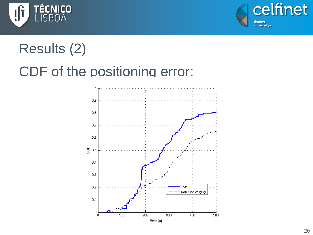



### Results (2)

#### CDF of the positioning error:

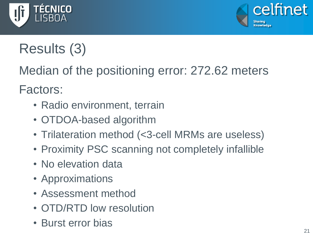



### Results (3)

Median of the positioning error: 272.62 meters

Factors:

- Radio environment, terrain
- OTDOA-based algorithm
- Trilateration method (<3-cell MRMs are useless)
- Proximity PSC scanning not completely infallible
- No elevation data
- Approximations
- Assessment method
- OTD/RTD low resolution
- Burst error bias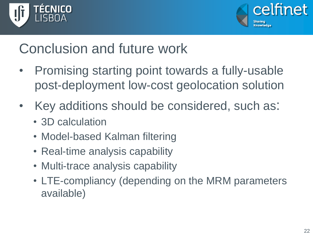



#### Conclusion and future work

- Promising starting point towards a fully-usable post-deployment low-cost geolocation solution
- Key additions should be considered, such as:
	- 3D calculation
	- Model-based Kalman filtering
	- Real-time analysis capability
	- Multi-trace analysis capability
	- LTE-compliancy (depending on the MRM parameters available)